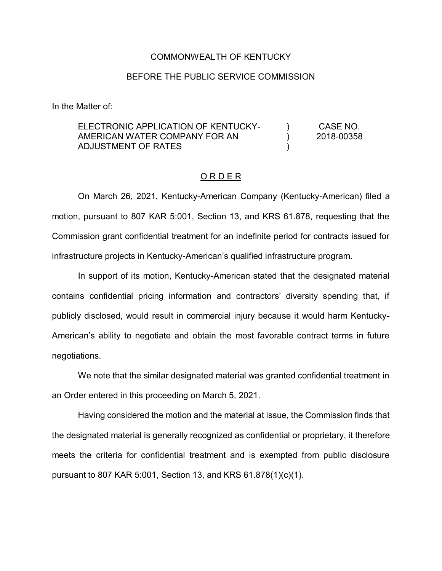## COMMONWEALTH OF KENTUCKY

## BEFORE THE PUBLIC SERVICE COMMISSION

In the Matter of:

## ELECTRONIC APPLICATION OF KENTUCKY-AMERICAN WATER COMPANY FOR AN ADJUSTMENT OF RATES  $\lambda$  $\lambda$ ) CASE NO. 2018-00358

## O R D E R

On March 26, 2021, Kentucky-American Company (Kentucky-American) filed a motion, pursuant to 807 KAR 5:001, Section 13, and KRS 61.878, requesting that the Commission grant confidential treatment for an indefinite period for contracts issued for infrastructure projects in Kentucky-American's qualified infrastructure program.

In support of its motion, Kentucky-American stated that the designated material contains confidential pricing information and contractors' diversity spending that, if publicly disclosed, would result in commercial injury because it would harm Kentucky-American's ability to negotiate and obtain the most favorable contract terms in future negotiations.

We note that the similar designated material was granted confidential treatment in an Order entered in this proceeding on March 5, 2021.

Having considered the motion and the material at issue, the Commission finds that the designated material is generally recognized as confidential or proprietary, it therefore meets the criteria for confidential treatment and is exempted from public disclosure pursuant to 807 KAR 5:001, Section 13, and KRS 61.878(1)(c)(1).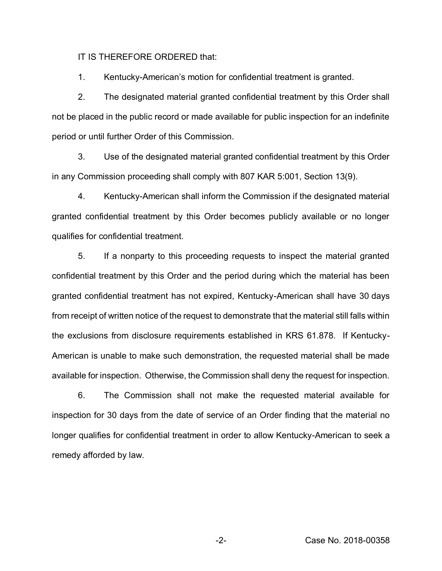IT IS THEREFORE ORDERED that:

1. Kentucky-American's motion for confidential treatment is granted.

2. The designated material granted confidential treatment by this Order shall not be placed in the public record or made available for public inspection for an indefinite period or until further Order of this Commission.

3. Use of the designated material granted confidential treatment by this Order in any Commission proceeding shall comply with 807 KAR 5:001, Section 13(9).

4. Kentucky-American shall inform the Commission if the designated material granted confidential treatment by this Order becomes publicly available or no longer qualifies for confidential treatment.

5. If a nonparty to this proceeding requests to inspect the material granted confidential treatment by this Order and the period during which the material has been granted confidential treatment has not expired, Kentucky-American shall have 30 days from receipt of written notice of the request to demonstrate that the material still falls within the exclusions from disclosure requirements established in KRS 61.878. If Kentucky-American is unable to make such demonstration, the requested material shall be made available for inspection. Otherwise, the Commission shall deny the request for inspection.

6. The Commission shall not make the requested material available for inspection for 30 days from the date of service of an Order finding that the material no longer qualifies for confidential treatment in order to allow Kentucky-American to seek a remedy afforded by law.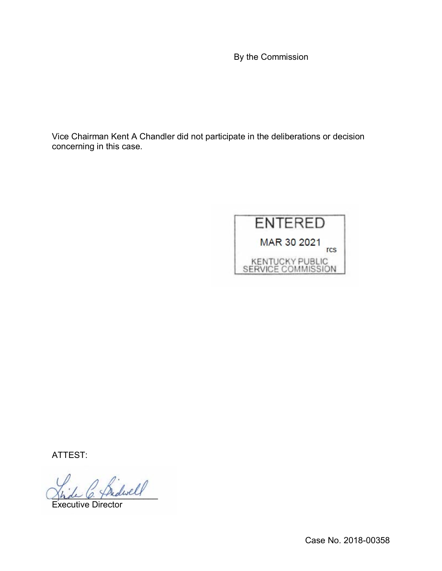By the Commission

Vice Chairman Kent A Chandler did not participate in the deliberations or decision concerning in this case.



ATTEST:

\_\_\_\_\_\_\_\_\_\_\_\_\_\_\_\_\_\_\_\_\_\_

Executive Director

Case No. 2018-00358